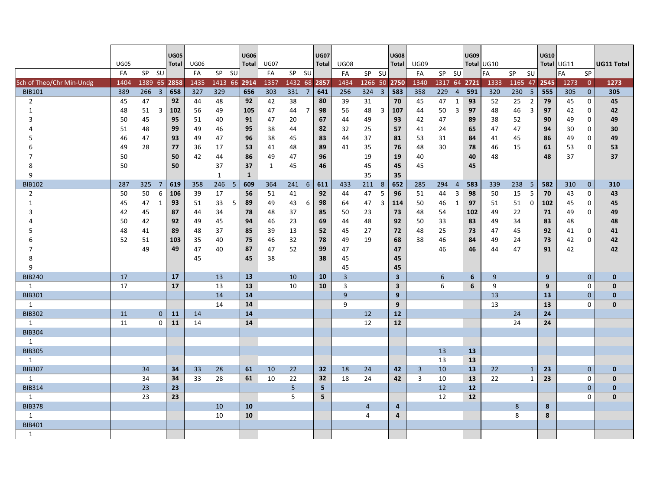|                          | <b>UG05</b><br>FA | SP SU   |                | <b>UG05</b><br>Total | <b>UG06</b><br>FA | SP SU        |     | <b>UG06</b><br><b>Total</b> | <b>UG07</b><br>FA | SP SU         |                | <b>UG07</b><br><b>Total</b> | <b>UG08</b><br>FA | SP SU          |                         | <b>UG08</b><br><b>Total</b> | <b>UG09</b><br>FA | SP SU        |                         | <b>UG09</b> | Total UG10<br>FA | SP      | <b>SU</b>      | <b>UG10</b> | Total UG11<br>FA | <b>SP</b>      | <b>UG11 Total</b> |
|--------------------------|-------------------|---------|----------------|----------------------|-------------------|--------------|-----|-----------------------------|-------------------|---------------|----------------|-----------------------------|-------------------|----------------|-------------------------|-----------------------------|-------------------|--------------|-------------------------|-------------|------------------|---------|----------------|-------------|------------------|----------------|-------------------|
| Sch of Theo/Chr Min-Undg | 1404              | 1389 65 |                | 2858                 | 1435              | 1413 66 2914 |     |                             | 1357              | 1432 68 2857  |                |                             | 1434              | 1266 50 2750   |                         |                             | 1340              | 1317 64 2721 |                         |             | 1333             | 1165 47 |                | 2545        | 1273             | $\overline{0}$ | 1273              |
| <b>BIB101</b>            | 389               | 266 3   |                | 658                  | 327               | 329          |     | 656                         | 303               | $331 \quad 7$ |                | 641                         | 256               | 324            | $\overline{\mathbf{3}}$ | 583                         | 358               | 229          | $\overline{4}$          | 591         | 320              | 230     | 5              | 555         | 305              | $\mathbf{0}$   | 305               |
| $\overline{2}$           | 45                | 47      |                | 92                   | 44                | 48           |     | 92                          | 42                | 38            |                | 80                          | 39                | 31             |                         | 70                          | 45                | 47           | $\mathbf{1}$            | 93          | 52               | 25      | $\overline{2}$ | 79          | 45               | $\mathbf 0$    | 45                |
| $\mathbf{1}$             | 48                | 51      | 3              | 102                  | 56                | 49           |     | 105                         | 47                | 44            | $\overline{7}$ | 98                          | 56                | 48             | 3                       | 107                         | 44                | 50           | $\overline{3}$          | 97          | 48               | 46      | $\overline{3}$ | 97          | 42               | 0              | 42                |
| 3                        | 50                | 45      |                | 95                   | 51                | 40           |     | 91                          | 47                | 20            |                | 67                          | 44                | 49             |                         | 93                          | 42                | 47           |                         | 89          | 38               | 52      |                | 90          | 49               | $\pmb{0}$      | 49                |
|                          | 51                | 48      |                | 99                   | 49                | 46           |     | 95                          | 38                | 44            |                | 82                          | 32                | 25             |                         | 57                          | 41                | 24           |                         | 65          | 47               | 47      |                | 94          | 30               | 0              | 30                |
| 5                        | 46                | 47      |                | 93                   | 49                | 47           |     | 96                          | 38                | 45            |                | 83                          | 44                | 37             |                         | 81                          | 53                | 31           |                         | 84          | 41               | 45      |                | 86          | 49               | 0              | 49                |
|                          | 49                | 28      |                | 77                   | 36                | 17           |     | 53                          | 41                | 48            |                | 89                          | 41                | 35             |                         | 76                          | 48                | 30           |                         | 78          | 46               | 15      |                | 61          | 53               | $\mathbf 0$    | 53                |
|                          | 50                |         |                | 50                   | 42                | 44           |     | 86                          | 49                | 47            |                | 96                          |                   | 19             |                         | 19                          | 40                |              |                         | 40          | 48               |         |                | 48          | 37               |                | 37                |
| 8                        | 50                |         |                | 50                   |                   | 37           |     | 37                          | 1                 | 45            |                | 46                          |                   | 45             |                         | 45                          | 45                |              |                         | 45          |                  |         |                |             |                  |                |                   |
| 9                        |                   |         |                |                      |                   | $\mathbf{1}$ |     | $\mathbf{1}$                |                   |               |                |                             |                   | 35             |                         | 35                          |                   |              |                         |             |                  |         |                |             |                  |                |                   |
| <b>BIB102</b>            | 287               | 325     | $\overline{7}$ | 619                  | 358               | 246          | - 5 | 609                         | 364               | 241           | $6^{\circ}$    | 611                         | 433               | 211            | 8                       | 652                         | 285               | 294          | $\overline{4}$          | 583         | 339              | 238     | - 5            | 582         | 310              | $\mathbf{0}$   | 310               |
| $\overline{2}$           | 50                | 50      | 6              | 106                  | 39                | 17           |     | 56                          | 51                | 41            |                | 92                          | 44                | 47             | 5                       | 96                          | 51                | 44           | $\overline{\mathbf{3}}$ | 98          | 50               | 15      | -5             | 70          | 43               | 0              | 43                |
| $\mathbf{1}$             | 45                | 47      | 1              | 93                   | 51                | 33           | 5   | 89                          | 49                | 43            | 6              | 98                          | 64                | 47             | 3                       | 114                         | 50                | 46           | $\mathbf{1}$            | 97          | 51               | 51      | $\mathbf{0}$   | 102         | 45               | 0              | 45                |
| 3                        | 42                | 45      |                | 87                   | 44                | 34           |     | 78                          | 48                | 37            |                | 85                          | 50                | 23             |                         | 73                          | 48                | 54           |                         | 102         | 49               | 22      |                | 71          | 49               | $\mathbf 0$    | 49                |
|                          | 50                | 42      |                | 92                   | 49                | 45           |     | 94                          | 46                | 23            |                | 69                          | 44                | 48             |                         | 92                          | 50                | 33           |                         | 83          | 49               | 34      |                | 83          | 48               |                | 48                |
| 5                        | 48                | 41      |                | 89                   | 48                | 37           |     | 85                          | 39                | 13            |                | 52                          | 45                | 27             |                         | 72                          | 48                | 25           |                         | 73          | 47               | 45      |                | 92          | 41               | 0              | 41                |
| 6                        | 52                | 51      |                | 103                  | 35                | 40           |     | 75                          | 46                | 32            |                | 78                          | 49                | 19             |                         | 68                          | 38                | 46           |                         | 84          | 49               | 24      |                | 73          | 42               | 0              | 42                |
| 7                        |                   | 49      |                | 49                   | 47                | 40           |     | 87                          | 47                | 52            |                | 99                          | 47                |                |                         | 47                          |                   | 46           |                         | 46          | 44               | 47      |                | 91          | 42               |                | 42                |
| 8                        |                   |         |                |                      | 45                |              |     | 45                          | 38                |               |                | 38                          | 45                |                |                         | 45                          |                   |              |                         |             |                  |         |                |             |                  |                |                   |
| q                        |                   |         |                |                      |                   |              |     |                             |                   |               |                |                             | 45                |                |                         | 45                          |                   |              |                         |             |                  |         |                |             |                  |                |                   |
| <b>BIB240</b>            | 17                |         |                | 17                   |                   | 13           |     | 13                          |                   | 10            |                | 10                          | 3                 |                |                         | $\overline{\mathbf{3}}$     |                   | 6            |                         | 6           | 9                |         |                | 9           |                  | $\mathbf{0}$   | $\mathbf{0}$      |
| 1                        | 17                |         |                | 17                   |                   | 13           |     | 13                          |                   | 10            |                | 10                          | 3                 |                |                         | $\overline{\mathbf{3}}$     |                   | 6            |                         | 6           | 9                |         |                | 9           |                  | $\mathbf 0$    | $\mathbf{0}$      |
| <b>BIB301</b>            |                   |         |                |                      |                   | 14           |     | 14                          |                   |               |                |                             | 9                 |                |                         | 9                           |                   |              |                         |             | 13               |         |                | 13          |                  | 0              | $\mathbf{0}$      |
| 1                        |                   |         |                |                      |                   | 14           |     | 14                          |                   |               |                |                             | 9                 |                |                         | 9                           |                   |              |                         |             | 13               |         |                | 13          |                  | $\Omega$       | $\mathbf{0}$      |
| <b>BIB302</b>            | 11                |         | $\mathbf{0}$   | 11                   | 14                |              |     | 14                          |                   |               |                |                             |                   | 12             |                         | 12                          |                   |              |                         |             |                  | 24      |                | 24          |                  |                |                   |
| 1                        | 11                |         | $\Omega$       | 11                   | 14                |              |     | 14                          |                   |               |                |                             |                   | 12             |                         | 12                          |                   |              |                         |             |                  | 24      |                | 24          |                  |                |                   |
| <b>BIB304</b>            |                   |         |                |                      |                   |              |     |                             |                   |               |                |                             |                   |                |                         |                             |                   |              |                         |             |                  |         |                |             |                  |                |                   |
| 1                        |                   |         |                |                      |                   |              |     |                             |                   |               |                |                             |                   |                |                         |                             |                   |              |                         |             |                  |         |                |             |                  |                |                   |
| <b>BIB305</b>            |                   |         |                |                      |                   |              |     |                             |                   |               |                |                             |                   |                |                         |                             |                   | 13           |                         | 13          |                  |         |                |             |                  |                |                   |
| 1                        |                   |         |                |                      |                   |              |     |                             |                   |               |                |                             |                   |                |                         |                             |                   | 13           |                         | 13          |                  |         |                |             |                  |                |                   |
| <b>BIB307</b>            |                   | 34      |                | 34                   | 33                | 28           |     | 61                          | 10                | 22            |                | 32                          | 18                | 24             |                         | 42                          | $\overline{3}$    | 10           |                         | 13          | 22               |         | $\mathbf{1}$   | 23          |                  | $\mathbf{0}$   | $\mathbf{0}$      |
| 1                        |                   | 34      |                | 34                   | 33                | 28           |     | 61                          | 10                | 22            |                | 32                          | 18                | 24             |                         | 42                          | 3                 | 10           |                         | 13          | 22               |         | $\mathbf{1}$   | 23          |                  | $\mathbf 0$    | $\mathbf{0}$      |
| <b>BIB314</b>            |                   | 23      |                | 23                   |                   |              |     |                             |                   | 5             |                | 5                           |                   |                |                         |                             |                   | 12           |                         | 12          |                  |         |                |             |                  | 0              | $\mathbf{0}$      |
| 1                        |                   | 23      |                | 23                   |                   |              |     |                             |                   | 5             |                | 5                           |                   |                |                         |                             |                   | 12           |                         | 12          |                  |         |                |             |                  | $\mathbf 0$    | $\mathbf{0}$      |
| <b>BIB378</b>            |                   |         |                |                      |                   | 10           |     | 10                          |                   |               |                |                             |                   | $\overline{4}$ |                         | $\overline{a}$              |                   |              |                         |             |                  | 8       |                | 8           |                  |                |                   |
| 1                        |                   |         |                |                      |                   | 10           |     | 10                          |                   |               |                |                             |                   | 4              |                         | $\overline{4}$              |                   |              |                         |             |                  | 8       |                | 8           |                  |                |                   |
| <b>BIB401</b>            |                   |         |                |                      |                   |              |     |                             |                   |               |                |                             |                   |                |                         |                             |                   |              |                         |             |                  |         |                |             |                  |                |                   |
| 1                        |                   |         |                |                      |                   |              |     |                             |                   |               |                |                             |                   |                |                         |                             |                   |              |                         |             |                  |         |                |             |                  |                |                   |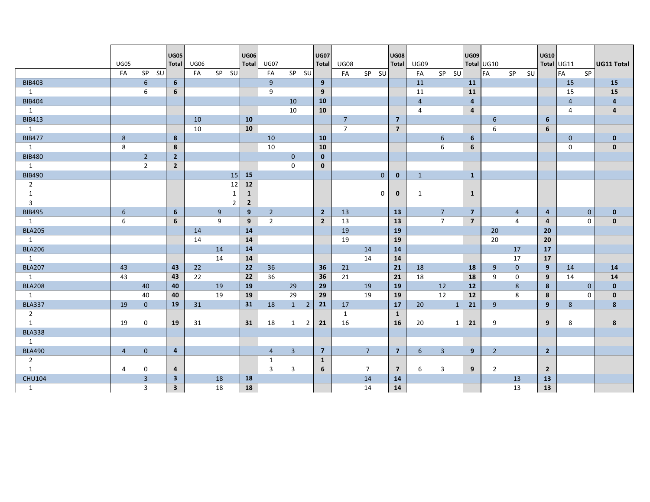|                | <b>UG05</b>    |                | <b>UG05</b><br><b>Total</b> | <b>UG06</b> |                | <b>UG06</b><br><b>Total</b> | <b>UG07</b>    |                     | <b>UG07</b><br>Total | <b>UG08</b>                                                                                                          |                | <b>UG08</b><br><b>Total</b> | <b>UG09</b>    |                 | UG09           | Total UG10     |                | <b>UG10</b>    | Total UG11     |              | <b>UG11 Total</b>       |
|----------------|----------------|----------------|-----------------------------|-------------|----------------|-----------------------------|----------------|---------------------|----------------------|----------------------------------------------------------------------------------------------------------------------|----------------|-----------------------------|----------------|-----------------|----------------|----------------|----------------|----------------|----------------|--------------|-------------------------|
|                | FA             | $SP$ $SU$      |                             | FA          | SP SU          |                             | FA             | SP SU               |                      | FA                                                                                                                   | SP SU          |                             | FA             | $SP$ $SU$       |                | FA             | SP SU          |                | <b>FA</b>      | <b>SP</b>    |                         |
| <b>BIB403</b>  |                | 6              | 6                           |             |                |                             | $\overline{9}$ |                     | 9                    |                                                                                                                      |                |                             | 11             |                 | <b>11</b>      |                |                |                | 15             |              | 15                      |
| 1              |                | 6              | 6                           |             |                |                             | 9              |                     | 9                    |                                                                                                                      |                |                             | 11             |                 | 11             |                |                |                | 15             |              | 15                      |
| <b>BIB404</b>  |                |                |                             |             |                |                             |                | 10                  | <b>10</b>            |                                                                                                                      |                |                             | $\overline{4}$ |                 | 4              |                |                |                | $\overline{4}$ |              | 4                       |
| 1              |                |                |                             |             |                |                             |                | 10                  | 10                   |                                                                                                                      |                |                             | 4              |                 | $\overline{a}$ |                |                |                | 4              |              | $\overline{\mathbf{4}}$ |
| <b>BIB413</b>  |                |                |                             | 10          |                | 10                          |                |                     |                      | $7^{\circ}$                                                                                                          |                | $\overline{7}$              |                |                 |                | 6              |                | 6              |                |              |                         |
| 1              |                |                |                             | 10          |                | 10                          |                |                     |                      | $\overline{7}$                                                                                                       |                | $\overline{7}$              |                |                 |                | 6              |                | 6              |                |              |                         |
| <b>BIB477</b>  | 8              |                | 8                           |             |                |                             | 10             |                     | 10                   |                                                                                                                      |                |                             |                | 6               | 6              |                |                |                | $\mathbf{0}$   |              | $\mathbf{0}$            |
| 1              | 8              |                | 8                           |             |                |                             | 10             |                     | 10                   |                                                                                                                      |                |                             |                | 6               | 6              |                |                |                | $\mathbf 0$    |              | $\mathbf 0$             |
| <b>BIB480</b>  |                | $\overline{2}$ | $\overline{2}$              |             |                |                             |                | $\mathbf{0}$        | $\mathbf{0}$         |                                                                                                                      |                |                             |                |                 |                |                |                |                |                |              |                         |
| 1              |                | $\overline{2}$ | $\overline{2}$              |             |                |                             |                | $\mathbf{0}$        | $\mathbf{0}$         |                                                                                                                      |                |                             |                |                 |                |                |                |                |                |              |                         |
| <b>BIB490</b>  |                |                |                             |             | 15             | 15                          |                |                     |                      |                                                                                                                      | $\mathbf{0}$   | $\mathbf{0}$                | $\mathbf{1}$   |                 | $\mathbf{1}$   |                |                |                |                |              |                         |
| $\overline{2}$ |                |                |                             |             | 12             | 12                          |                |                     |                      |                                                                                                                      |                |                             |                |                 |                |                |                |                |                |              |                         |
| 1              |                |                |                             |             | 1              | $\mathbf{1}$                |                |                     |                      |                                                                                                                      | 0              | $\mathbf 0$                 | 1              |                 | $\mathbf{1}$   |                |                |                |                |              |                         |
| $\overline{3}$ |                |                |                             |             | $\overline{2}$ | $\overline{2}$              |                |                     |                      |                                                                                                                      |                |                             |                |                 |                |                |                |                |                |              |                         |
| <b>BIB495</b>  | 6 <sup>1</sup> |                | 6                           |             | 9              | 9                           | $\overline{2}$ |                     | $\overline{2}$       | 13                                                                                                                   |                | 13                          |                | $7\overline{ }$ | $\overline{7}$ |                | $\overline{4}$ | $\overline{4}$ |                | $\mathbf{0}$ | $\mathbf{0}$            |
| 1              | 6              |                | 6                           |             | 9              | 9                           | $\overline{2}$ |                     | $\overline{2}$       | 13                                                                                                                   |                | 13                          |                | $\overline{7}$  | $\overline{7}$ |                | 4              | $\overline{a}$ |                | $\Omega$     | $\mathbf{0}$            |
| <b>BLA205</b>  |                |                |                             | 14          |                | 14                          |                |                     |                      | 19                                                                                                                   |                | 19                          |                |                 |                | 20             |                | 20             |                |              |                         |
| 1              |                |                |                             | 14          |                | 14                          |                |                     |                      | 19                                                                                                                   |                | 19                          |                |                 |                | 20             |                | 20             |                |              |                         |
| <b>BLA206</b>  |                |                |                             |             | 14             | 14                          |                |                     |                      | <b>STATE OF STATE OF STATE OF STATE OF STATE OF STATE OF STATE OF STATE OF STATE OF STATE OF STATE OF STATE OF S</b> | 14             | 14                          |                |                 |                |                | 17             | 17             |                |              |                         |
| 1              |                |                |                             |             | 14             | 14                          |                |                     |                      |                                                                                                                      | 14             | 14                          |                |                 |                |                | 17             | 17             |                |              |                         |
| <b>BLA207</b>  | 43             |                | 43                          | 22          |                | 22                          | 36             |                     | 36                   | 21                                                                                                                   |                | 21                          | 18             |                 | 18             | 9              | $\mathbf{0}$   | 9              | 14             |              | 14                      |
| 1              | 43             |                | 43                          | 22          |                | 22                          | 36             |                     | 36                   | 21                                                                                                                   |                | 21                          | 18             |                 | 18             | 9              | $\mathbf 0$    | 9              | 14             |              | 14                      |
| <b>BLA208</b>  |                | 40             | 40                          |             | 19             | 19                          |                | 29                  | 29                   |                                                                                                                      | 19             | 19                          |                | 12              | 12             |                | 8              | 8              |                | $\mathbf{0}$ | $\mathbf{0}$            |
| 1              |                | 40             | 40                          |             | 19             | 19                          |                | 29                  | 29                   |                                                                                                                      | 19             | 19                          |                | 12              | 12             |                | 8              | 8              |                | $\mathbf 0$  | $\mathbf 0$             |
| <b>BLA337</b>  | 19             | $\mathbf{0}$   | 19                          | 31          |                | 31                          | 18             | 1<br>$\overline{2}$ | 21                   | 17                                                                                                                   |                | 17                          | 20             | $\mathbf{1}$    | 21             | 9              |                | 9              | 8              |              | 8                       |
| $\overline{2}$ |                |                |                             |             |                |                             |                |                     |                      | $\mathbf{1}$                                                                                                         |                | $\mathbf{1}$                |                |                 |                |                |                |                |                |              |                         |
| 1              | 19             | $\Omega$       | 19                          | 31          |                | 31                          | 18             | $\overline{2}$<br>1 | 21                   | 16                                                                                                                   |                | 16                          | 20             | $\mathbf{1}$    | 21             | 9              |                | 9              | 8              |              | 8                       |
| <b>BLA338</b>  |                |                |                             |             |                |                             |                |                     |                      |                                                                                                                      |                |                             |                |                 |                |                |                |                |                |              |                         |
| 1              |                |                |                             |             |                |                             |                |                     |                      |                                                                                                                      |                |                             |                |                 |                |                |                |                |                |              |                         |
| <b>BLA490</b>  | $\overline{4}$ | $\mathbf{0}$   | $\overline{4}$              |             |                |                             | $\overline{4}$ | $\overline{3}$      | $\overline{7}$       |                                                                                                                      | $\overline{7}$ | 7 <sup>7</sup>              | 6              | $\overline{3}$  | 9              | $2^{\circ}$    |                | $2^{\circ}$    |                |              |                         |
| $\overline{2}$ |                |                |                             |             |                |                             | 1              |                     | 1                    |                                                                                                                      |                |                             |                |                 |                |                |                |                |                |              |                         |
| 1              | 4              | $\mathbf 0$    | 4                           |             |                |                             | 3              | 3                   | 6                    |                                                                                                                      | $\overline{7}$ | $\overline{7}$              | 6              | 3               | 9              | $\overline{2}$ |                | $\overline{2}$ |                |              |                         |
| <b>CHU104</b>  |                | $\overline{3}$ | 3                           |             | 18             | 18                          |                |                     |                      |                                                                                                                      | 14             | 14                          |                |                 |                |                | 13             | 13             |                |              |                         |
| 1              |                | 3              | $\overline{\mathbf{3}}$     |             | 18             | 18                          |                |                     |                      |                                                                                                                      | 14             | 14                          |                |                 |                |                | 13             | 13             |                |              |                         |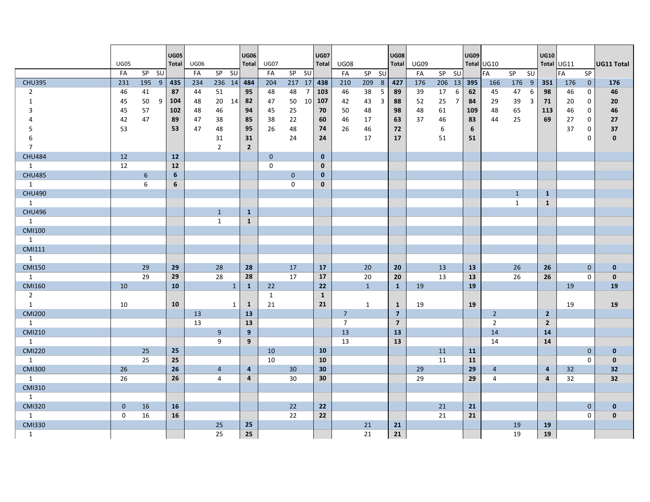|                     | <b>UG05</b>  | $SP$ $SU$       |   | <b>UG05</b><br><b>Total</b> | UG06     |                      |              | <b>UG06</b>             | Total UG07   |                 |                | <b>UG07</b><br><b>Total</b> | <b>UG08</b>    |                      | <b>UG08</b>    | Total UG09<br>FA |         |                | <b>UG09</b> | Total UG10     |              | - SU                | <b>UG10</b>    | Total UG11<br>FA | <b>SP</b>                  | <b>UG11 Total</b>  |
|---------------------|--------------|-----------------|---|-----------------------------|----------|----------------------|--------------|-------------------------|--------------|-----------------|----------------|-----------------------------|----------------|----------------------|----------------|------------------|---------|----------------|-------------|----------------|--------------|---------------------|----------------|------------------|----------------------------|--------------------|
| <b>CHU395</b>       | FA<br>231    | 195 9           |   |                             | FA       | SP SU                |              |                         | FA           | SP SU<br>217 17 |                |                             | FA             | SP SU                |                |                  | SP SU   |                | 395         | FA             | SP           |                     |                |                  |                            |                    |
|                     |              |                 |   | 435                         | 234      | $236$ 14             |              | 484                     | 204          |                 |                | 438                         | 210            | 209 8                | 427            | 176              | 206 13  |                |             | 166            | 176 9        |                     | 351            | 176              | $\overline{0}$             | 176                |
| $\overline{2}$      | 46           | 41              |   | 87                          | 44       | 51                   |              | 95                      | 48           | 48              | $\overline{7}$ | 103                         | 46             | 38<br>5              | 89             | 39               | 17      | 6              | 62          | 45             | 47           | 6<br>$\overline{3}$ | 98             | 46               | $\mathbf 0$                | 46                 |
| $\mathbf{1}$        | 45           | 50              | 9 | 104                         | 48       | 20 14                |              | 82<br>94                | 47           | 50              | 10             | 107                         | 42             | 43<br>$\overline{3}$ | 88             | 52               | 25      | $\overline{7}$ | 84          | 29             | 39           |                     | 71             | 20               | $\mathbf 0$                | 20                 |
| 3                   | 45           | 57              |   | 102                         | 48       | 46                   |              |                         | 45           | 25              |                | 70                          | 50             | 48                   | 98             | 48               | 61      |                | 109         | 48             | 65           |                     | 113            | 46               | $\mathbf 0$                | 46                 |
| 4                   | 42           | 47              |   | 89<br>53                    | 47<br>47 | 38                   |              | 85<br>95                | 38<br>26     | 22<br>48        |                | 60                          | 46<br>26       | 17                   | 63             | 37               | 46<br>6 |                | 83<br>6     | 44             | 25           |                     | 69             | 27<br>37         | $\mathbf 0$                | 27                 |
| 5                   | 53           |                 |   |                             |          | 48                   |              |                         |              | 24              |                | 74                          |                | 46<br>17             | 72             |                  | 51      |                |             |                |              |                     |                |                  | $\mathbf 0$<br>$\mathbf 0$ | 37<br>$\mathbf{0}$ |
| 6<br>$\overline{7}$ |              |                 |   |                             |          | 31<br>$\overline{2}$ |              | 31<br>$\overline{2}$    |              |                 |                | 24                          |                |                      | 17             |                  |         |                | 51          |                |              |                     |                |                  |                            |                    |
| <b>CHU484</b>       | 12           |                 |   | 12                          |          |                      |              |                         | $\mathbf{0}$ |                 |                | $\mathbf 0$                 |                |                      |                |                  |         |                |             |                |              |                     |                |                  |                            |                    |
| 1                   | 12           |                 |   | 12                          |          |                      |              |                         | $\mathbf{0}$ |                 |                | $\mathbf{0}$                |                |                      |                |                  |         |                |             |                |              |                     |                |                  |                            |                    |
| <b>CHU485</b>       |              | $6\overline{6}$ |   | 6                           |          |                      |              |                         |              | $\mathbf{0}$    |                | $\mathbf{0}$                |                |                      |                |                  |         |                |             |                |              |                     |                |                  |                            |                    |
| 1                   |              | 6               |   | 6                           |          |                      |              |                         |              | $\mathbf 0$     |                | $\mathbf 0$                 |                |                      |                |                  |         |                |             |                |              |                     |                |                  |                            |                    |
| <b>CHU490</b>       |              |                 |   |                             |          |                      |              |                         |              |                 |                |                             |                |                      |                |                  |         |                |             |                | $\mathbf{1}$ |                     | $\mathbf{1}$   |                  |                            |                    |
| 1                   |              |                 |   |                             |          |                      |              |                         |              |                 |                |                             |                |                      |                |                  |         |                |             |                | $\mathbf{1}$ |                     | $\mathbf{1}$   |                  |                            |                    |
| <b>CHU496</b>       |              |                 |   |                             |          | $\mathbf{1}$         |              | $\mathbf{1}$            |              |                 |                |                             |                |                      |                |                  |         |                |             |                |              |                     |                |                  |                            |                    |
| 1                   |              |                 |   |                             |          | $\mathbf{1}$         |              | $\mathbf{1}$            |              |                 |                |                             |                |                      |                |                  |         |                |             |                |              |                     |                |                  |                            |                    |
| <b>CMI100</b>       |              |                 |   |                             |          |                      |              |                         |              |                 |                |                             |                |                      |                |                  |         |                |             |                |              |                     |                |                  |                            |                    |
| 1                   |              |                 |   |                             |          |                      |              |                         |              |                 |                |                             |                |                      |                |                  |         |                |             |                |              |                     |                |                  |                            |                    |
| <b>CMI111</b>       |              |                 |   |                             |          |                      |              |                         |              |                 |                |                             |                |                      |                |                  |         |                |             |                |              |                     |                |                  |                            |                    |
| 1                   |              |                 |   |                             |          |                      |              |                         |              |                 |                |                             |                |                      |                |                  |         |                |             |                |              |                     |                |                  |                            |                    |
| <b>CMI150</b>       |              | 29              |   | 29                          |          | 28                   |              | 28                      |              | 17              |                | 17                          |                | 20                   | 20             |                  | 13      |                | 13          |                | 26           |                     | 26             |                  | $\overline{0}$             | $\mathbf{0}$       |
| 1                   |              | 29              |   | 29                          |          | 28                   |              | 28                      |              | 17              |                | 17                          |                | 20                   | 20             |                  | 13      |                | 13          |                | 26           |                     | 26             |                  | $\Omega$                   | $\mathbf{0}$       |
| <b>CMI160</b>       | 10           |                 |   | 10                          |          |                      | $\mathbf{1}$ | $\mathbf{1}$            | 22           |                 |                | 22                          |                | $\mathbf{1}$         | $\mathbf{1}$   | 19               |         |                | 19          |                |              |                     |                | 19               |                            | 19                 |
| $\overline{2}$      |              |                 |   |                             |          |                      |              |                         | 1            |                 |                | $\mathbf{1}$                |                |                      |                |                  |         |                |             |                |              |                     |                |                  |                            |                    |
| 1                   | 10           |                 |   | 10                          |          |                      | 1            | $\mathbf{1}$            | 21           |                 |                | 21                          |                | $\mathbf{1}$         | $\mathbf{1}$   | 19               |         |                | 19          |                |              |                     |                | 19               |                            | 19                 |
| <b>CMI200</b>       |              |                 |   |                             | 13       |                      |              | 13                      |              |                 |                |                             | $7^{\circ}$    |                      | $\overline{7}$ |                  |         |                |             | $\overline{2}$ |              |                     | $2^{\circ}$    |                  |                            |                    |
| 1                   |              |                 |   |                             | 13       |                      |              | 13                      |              |                 |                |                             | $\overline{7}$ |                      | $\overline{7}$ |                  |         |                |             | $\overline{2}$ |              |                     | $\overline{2}$ |                  |                            |                    |
| <b>CMI210</b>       |              |                 |   |                             |          | 9                    |              | 9                       |              |                 |                |                             | 13             |                      | 13             |                  |         |                |             | 14             |              |                     | 14             |                  |                            |                    |
| 1                   |              |                 |   |                             |          | 9                    |              | 9                       |              |                 |                |                             | 13             |                      | 13             |                  |         |                |             | 14             |              |                     | 14             |                  |                            |                    |
| <b>CMI220</b>       |              | 25              |   | 25                          |          |                      |              |                         | 10           |                 |                | 10                          |                |                      |                |                  | 11      |                | 11          |                |              |                     |                |                  | $\overline{0}$             | $\mathbf{0}$       |
| 1                   |              | 25              |   | 25                          |          |                      |              |                         | 10           |                 |                | 10                          |                |                      |                |                  | 11      |                | 11          |                |              |                     |                |                  | $\Omega$                   | $\mathbf{0}$       |
| <b>CMI300</b>       | 26           |                 |   | 26                          |          | $\overline{4}$       |              | $\overline{\mathbf{4}}$ |              | 30 <sup>°</sup> |                | 30                          |                |                      |                | 29               |         |                | 29          | $\overline{4}$ |              |                     | $\overline{4}$ | 32               |                            | 32                 |
| 1                   | 26           |                 |   | 26                          |          | $\overline{4}$       |              | $\overline{a}$          |              | 30              |                | 30                          |                |                      |                | 29               |         |                | 29          | $\overline{4}$ |              |                     | $\overline{4}$ | 32               |                            | 32                 |
| <b>CMI310</b>       |              |                 |   |                             |          |                      |              |                         |              |                 |                |                             |                |                      |                |                  |         |                |             |                |              |                     |                |                  |                            |                    |
| 1                   |              |                 |   |                             |          |                      |              |                         |              |                 |                |                             |                |                      |                |                  |         |                |             |                |              |                     |                |                  |                            |                    |
| <b>CMI320</b>       | $\mathbf{0}$ | 16              |   | 16                          |          |                      |              |                         |              | 22              |                | 22                          |                |                      |                |                  | 21      |                | 21          |                |              |                     |                |                  | $\overline{0}$             | $\mathbf 0$        |
| 1                   | $\mathbf 0$  | 16              |   | 16                          |          |                      |              |                         |              | 22              |                | 22                          |                |                      |                |                  | 21      |                | 21          |                |              |                     |                |                  | $\mathbf{0}$               | $\mathbf{0}$       |
| <b>CMI330</b>       |              |                 |   |                             |          | 25                   |              | 25                      |              |                 |                |                             |                | 21                   | 21             |                  |         |                |             |                | 19           |                     | 19             |                  |                            |                    |
| 1                   |              |                 |   |                             |          | 25                   |              | 25                      |              |                 |                |                             |                | 21                   | 21             |                  |         |                |             |                | 19           |                     | 19             |                  |                            |                    |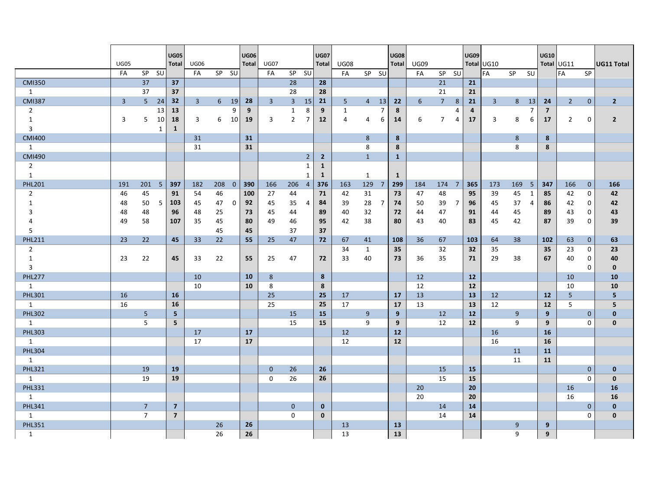|                |              |                |              | <b>UG05</b>             |              |             |                | <b>UG06</b>  |                |                |                | <b>UG07</b>    |                |              |                | <b>UG08</b>  |                 |                 |                | UG09                    |                |                |              | <b>UG10</b>    |                |                |                   |
|----------------|--------------|----------------|--------------|-------------------------|--------------|-------------|----------------|--------------|----------------|----------------|----------------|----------------|----------------|--------------|----------------|--------------|-----------------|-----------------|----------------|-------------------------|----------------|----------------|--------------|----------------|----------------|----------------|-------------------|
|                | <b>UG05</b>  |                |              | <b>Total</b>            | <b>UG06</b>  |             |                | <b>Total</b> | <b>UG07</b>    |                |                | <b>Total</b>   | <b>UG08</b>    |              |                | <b>Total</b> | <b>UG09</b>     |                 |                |                         | Total UG10     |                |              |                | Total UG11     |                | <b>UG11 Total</b> |
|                | FA           | SP SU          |              |                         | FA           | SP SU       |                |              | FA             | SP SU          |                |                | FA             | SP SU        |                |              | FA              | SP SU           |                |                         | FA             | <b>SP</b>      | SU           |                | FA             | SP             |                   |
| <b>CMI350</b>  |              | 37             |              | 37                      |              |             |                |              |                | 28             |                | 28             |                |              |                |              |                 | 21              |                | 21                      |                |                |              |                |                |                |                   |
| $\mathbf{1}$   |              | 37             |              | 37                      |              |             |                |              |                | 28             |                | 28             |                |              |                |              |                 | 21              |                | 21                      |                |                |              |                |                |                |                   |
| <b>CMI387</b>  | $\mathbf{3}$ | 5 <sup>1</sup> | 24           | 32                      | $\mathbf{3}$ | $6^{\circ}$ | 19             | 28           | $\overline{3}$ | $\overline{3}$ | 15             | 21             | 5 <sub>5</sub> | $4 \quad 13$ |                | 22           | $6\overline{6}$ | $7\overline{ }$ | 8              | 21                      | $\overline{3}$ | 8 <sup>1</sup> | 13           | 24             | $2^{\circ}$    | $\mathbf{0}$   | $\overline{2}$    |
| $\overline{2}$ |              |                | 13           | 13                      |              |             | 9              | 9            |                | $\mathbf{1}$   | 8              | 9              | $\mathbf{1}$   |              | 7              | 8            |                 |                 | 4              | $\overline{\mathbf{a}}$ |                |                | 7            | $\overline{7}$ |                |                |                   |
| $\mathbf{1}$   | 3            | 5              | 10           | 18                      | 3            | 6           | 10             | 19           | 3              | $\overline{2}$ | $\overline{7}$ | 12             | 4              | 4            | 6              | 14           | 6               | $\overline{7}$  | 4              | 17                      | $\overline{3}$ | 8              | 6            | 17             | $\overline{2}$ | $\mathbf 0$    | $\overline{2}$    |
| $\overline{3}$ |              |                | $\mathbf{1}$ | 1                       |              |             |                |              |                |                |                |                |                |              |                |              |                 |                 |                |                         |                |                |              |                |                |                |                   |
| <b>CMI400</b>  |              |                |              |                         | 31           |             |                | 31           |                |                |                |                |                | 8            |                | 8            |                 |                 |                |                         |                | 8              |              | 8              |                |                |                   |
| 1              |              |                |              |                         | 31           |             |                | 31           |                |                |                |                |                | 8            |                | 8            |                 |                 |                |                         |                | 8              |              | 8              |                |                |                   |
| <b>CMI490</b>  |              |                |              |                         |              |             |                |              |                |                | $\overline{2}$ | $\overline{2}$ |                | $\mathbf{1}$ |                | $\mathbf{1}$ |                 |                 |                |                         |                |                |              |                |                |                |                   |
| $\overline{2}$ |              |                |              |                         |              |             |                |              |                |                | 1              | $\mathbf{1}$   |                |              |                |              |                 |                 |                |                         |                |                |              |                |                |                |                   |
| $\mathbf{1}$   |              |                |              |                         |              |             |                |              |                |                | 1              | $\mathbf{1}$   |                | $\mathbf{1}$ |                | $\mathbf{1}$ |                 |                 |                |                         |                |                |              |                |                |                |                   |
| <b>PHL201</b>  | 191          | $201 \quad 5$  |              | 397                     | 182          | 208         | $\overline{0}$ | 390          | 166            | 206            | $\overline{4}$ | 376            | 163            | 129          | $\overline{7}$ | 299          | 184             | 174 7           |                | 365                     | 173            | 169 5          |              | 347            | 166            | $\overline{0}$ | 166               |
| $\overline{2}$ | 46           | 45             |              | 91                      | 54           | 46          |                | 100          | 27             | 44             |                | 71             | 42             | 31           |                | 73           | 47              | 48              |                | 95                      | 39             | 45             | $\mathbf{1}$ | 85             | 42             | $\mathbf 0$    | 42                |
| 1              | 48           | 50             | 5            | 103                     | 45           | 47          | $\mathbf 0$    | 92           | 45             | 35             | 4              | 84             | 39             | 28           | 7              | 74           | 50              | 39              | $\overline{7}$ | 96                      | 45             | 37             | 4            | 86             | 42             | $\mathbf 0$    | 42                |
| 3              | 48           | 48             |              | 96                      | 48           | 25          |                | 73           | 45             | 44             |                | 89             | 40             | 32           |                | 72           | 44              | 47              |                | 91                      | 44             | 45             |              | 89             | 43             | 0              | 43                |
| 4              | 49           | 58             |              | 107                     | 35           | 45          |                | 80           | 49             | 46             |                | 95             | 42             | 38           |                | 80           | 43              | 40              |                | 83                      | 45             | 42             |              | 87             | 39             | $\mathbf 0$    | 39                |
| 5              |              |                |              |                         |              | 45          |                | 45           |                | 37             |                | 37             |                |              |                |              |                 |                 |                |                         |                |                |              |                |                |                |                   |
| <b>PHL211</b>  | 23           | 22             |              | 45                      | 33           | 22          |                | 55           | 25             | 47             |                | 72             | 67             | 41           |                | 108          | 36              | 67              |                | 103                     | 64             | 38             |              | 102            | 63             | $\mathbf{0}$   | 63                |
| $\overline{2}$ |              |                |              |                         |              |             |                |              |                |                |                |                | 34             | 1            |                | 35           |                 | 32              |                | 32                      | 35             |                |              | 35             | 23             | $\mathbf 0$    | 23                |
| 1              | 23           | 22             |              | 45                      | 33           | 22          |                | 55           | 25             | 47             |                | 72             | 33             | 40           |                | 73           | 36              | 35              |                | 71                      | 29             | 38             |              | 67             | 40             | $\mathbf 0$    | 40                |
| $\overline{3}$ |              |                |              |                         |              |             |                |              |                |                |                |                |                |              |                |              |                 |                 |                |                         |                |                |              |                |                | $\mathbf 0$    | $\mathbf 0$       |
| <b>PHL277</b>  |              |                |              |                         | 10           |             |                | 10           | 8              |                |                | 8              |                |              |                |              | 12              |                 |                | 12                      |                |                |              |                | 10             |                | 10                |
| 1              |              |                |              |                         | 10           |             |                | 10           | 8              |                |                | 8              |                |              |                |              | 12              |                 |                | 12                      |                |                |              |                | 10             |                | 10                |
| <b>PHL301</b>  | 16           |                |              | <b>16</b>               |              |             |                |              | 25             |                |                | 25             | 17             |              |                | 17           | 13              |                 |                | 13                      | 12             |                |              | 12             | 5              |                | 5 <sup>5</sup>    |
| 1              | 16           |                |              | 16                      |              |             |                |              | 25             |                |                | 25             | 17             |              |                | 17           | 13              |                 |                | 13                      | 12             |                |              | 12             | 5              |                | 5                 |
| <b>PHL302</b>  |              | 5              |              | $\overline{\mathbf{5}}$ |              |             |                |              |                | 15             |                | 15             |                | 9            |                | 9            |                 | 12              |                | 12                      |                | 9              |              | 9              |                | $\mathbf{0}$   | $\mathbf{0}$      |
| 1              |              | 5              |              | 5                       |              |             |                |              |                | 15             |                | 15             |                | 9            |                | 9            |                 | 12              |                | 12                      |                | 9              |              | 9              |                | $\mathbf 0$    | $\mathbf{0}$      |
| <b>PHL303</b>  |              |                |              |                         | 17           |             |                | 17           |                |                |                |                | 12             |              |                | 12           |                 |                 |                |                         | 16             |                |              | <b>16</b>      |                |                |                   |
| 1              |              |                |              |                         | 17           |             |                | 17           |                |                |                |                | 12             |              |                | 12           |                 |                 |                |                         | 16             |                |              | 16             |                |                |                   |
| <b>PHL304</b>  |              |                |              |                         |              |             |                |              |                |                |                |                |                |              |                |              |                 |                 |                |                         |                | 11             |              | 11             |                |                |                   |
| 1              |              |                |              |                         |              |             |                |              |                |                |                |                |                |              |                |              |                 |                 |                |                         |                | 11             |              | 11             |                |                |                   |
| <b>PHL321</b>  |              | 19             |              | 19                      |              |             |                |              | $\mathbf{0}$   | 26             |                | 26             |                |              |                |              |                 | 15              |                | <b>15</b>               |                |                |              |                |                | $\mathbf{0}$   | $\mathbf 0$       |
| 1              |              | 19             |              | 19                      |              |             |                |              | $\Omega$       | 26             |                | 26             |                |              |                |              |                 | 15              |                | 15                      |                |                |              |                |                | $\mathbf 0$    | $\mathbf{0}$      |
| <b>PHL331</b>  |              |                |              |                         |              |             |                |              |                |                |                |                |                |              |                |              | 20              |                 |                | 20                      |                |                |              |                | 16             |                | 16                |
| 1              |              |                |              |                         |              |             |                |              |                |                |                |                |                |              |                |              | 20              |                 |                | 20                      |                |                |              |                | 16             |                | 16                |
| <b>PHL341</b>  |              | $\overline{7}$ |              | $\overline{\mathbf{z}}$ |              |             |                |              |                | $\mathbf{0}$   |                | $\mathbf{0}$   |                |              |                |              |                 | 14              |                | 14                      |                |                |              |                |                | $\mathbf{0}$   | $\mathbf{0}$      |
| 1              |              | $\overline{7}$ |              | $\overline{\mathbf{z}}$ |              |             |                |              |                | $\mathbf 0$    |                | $\mathbf{0}$   |                |              |                |              |                 | 14              |                | 14                      |                |                |              |                |                | $\mathbf 0$    | $\mathbf{0}$      |
| <b>PHL351</b>  |              |                |              |                         |              | 26          |                | 26           |                |                |                |                | 13             |              |                | 13           |                 |                 |                |                         |                | 9              |              | 9              |                |                |                   |
| 1              |              |                |              |                         |              | 26          |                | 26           |                |                |                |                | 13             |              |                | 13           |                 |                 |                |                         |                | 9              |              | 9              |                |                |                   |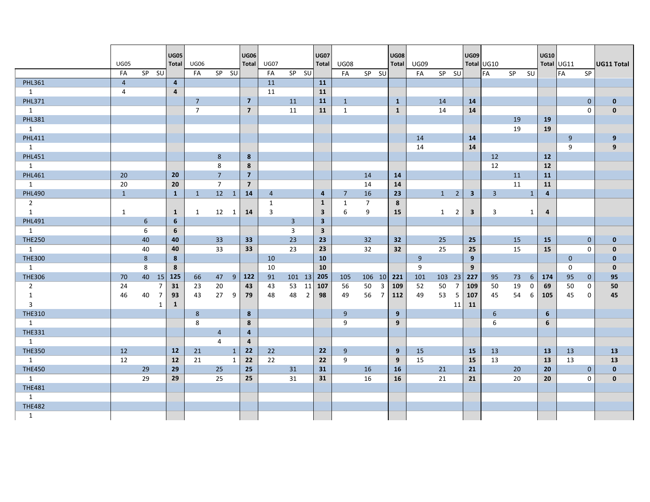|                | <b>UG05</b>    |       |                | <b>UG05</b><br><b>Total</b> | <b>UG06</b>    |                |                | <b>UG06</b><br><b>Total</b> | <b>UG07</b>    |                |                | <b>UG07</b><br><b>Total</b> | <b>UG08</b>    |                      | <b>UG08</b><br><b>Total</b> | UG09 |        |                | <b>UG09</b>             | Total UG10       |           |              | <b>UG10</b>    | Total UG11   |              | <b>UG11 Total</b> |
|----------------|----------------|-------|----------------|-----------------------------|----------------|----------------|----------------|-----------------------------|----------------|----------------|----------------|-----------------------------|----------------|----------------------|-----------------------------|------|--------|----------------|-------------------------|------------------|-----------|--------------|----------------|--------------|--------------|-------------------|
|                | FA             | SP SU |                |                             | FA             | SP SU          |                |                             | FA             | SP SU          |                |                             | FA             | SP SU                |                             | FA   | SP SU  |                |                         | FA               | <b>SP</b> | <b>SU</b>    |                | <b>IFA</b>   | SP           |                   |
| <b>PHL361</b>  | $\overline{4}$ |       |                | $\overline{\mathbf{4}}$     |                |                |                |                             | 11             |                |                | <b>11</b>                   |                |                      |                             |      |        |                |                         |                  |           |              |                |              |              |                   |
| 1              | 4              |       |                | $\overline{4}$              |                |                |                |                             | 11             |                |                | 11                          |                |                      |                             |      |        |                |                         |                  |           |              |                |              |              |                   |
| <b>PHL371</b>  |                |       |                |                             | $\overline{7}$ |                |                | $\overline{\mathbf{z}}$     |                | 11             |                | 11                          | $\mathbf{1}$   |                      | $\mathbf{1}$                |      | 14     |                | 14                      |                  |           |              |                |              | $\mathbf{0}$ | $\mathbf 0$       |
| 1              |                |       |                |                             | $\overline{7}$ |                |                | $\overline{7}$              |                | 11             |                | 11                          | 1              |                      | $\mathbf{1}$                |      | 14     |                | 14                      |                  |           |              |                |              | $\mathbf 0$  | $\mathbf 0$       |
| <b>PHL381</b>  |                |       |                |                             |                |                |                |                             |                |                |                |                             |                |                      |                             |      |        |                |                         |                  | 19        |              | 19             |              |              |                   |
| 1              |                |       |                |                             |                |                |                |                             |                |                |                |                             |                |                      |                             |      |        |                |                         |                  | 19        |              | 19             |              |              |                   |
| <b>PHL411</b>  |                |       |                |                             |                |                |                |                             |                |                |                |                             |                |                      |                             | 14   |        |                | 14                      |                  |           |              |                | 9            |              | 9                 |
| 1              |                |       |                |                             |                |                |                |                             |                |                |                |                             |                |                      |                             | 14   |        |                | 14                      |                  |           |              |                | 9            |              | 9                 |
| <b>PHL451</b>  |                |       |                |                             |                | 8              |                | 8                           |                |                |                |                             |                |                      |                             |      |        |                |                         | 12               |           |              | 12             |              |              |                   |
| 1              |                |       |                |                             |                | 8              |                | 8                           |                |                |                |                             |                |                      |                             |      |        |                |                         | 12               |           |              | 12             |              |              |                   |
| <b>PHL461</b>  | 20             |       |                | 20                          |                | $\overline{7}$ |                | $\overline{7}$              |                |                |                |                             |                | 14                   | 14                          |      |        |                |                         |                  | 11        |              | 11             |              |              |                   |
| 1              | 20             |       |                | 20                          |                | $\overline{7}$ |                | $\overline{7}$              |                |                |                |                             |                | 14                   | 14                          |      |        |                |                         |                  | 11        |              | 11             |              |              |                   |
| <b>PHL490</b>  | $\mathbf{1}$   |       |                | $\mathbf{1}$                | 1              | 12             | $\overline{1}$ | 14                          | $\overline{4}$ |                |                | $\overline{a}$              | $\overline{7}$ | 16                   | 23                          |      | 1      | $\overline{2}$ | $\overline{\mathbf{3}}$ | $\overline{3}$   |           | $\mathbf{1}$ | $\overline{4}$ |              |              |                   |
| $\overline{2}$ |                |       |                |                             |                |                |                |                             | $\mathbf{1}$   |                |                | $\mathbf{1}$                | 1              | $\overline{7}$       | 8                           |      |        |                |                         |                  |           |              |                |              |              |                   |
| 1              | 1              |       |                | $\mathbf{1}$                | 1              | 12 1           |                | 14                          | 3              |                |                | $\overline{\mathbf{3}}$     | 6              | 9                    | 15                          |      | 1      | $\overline{2}$ | $\overline{\mathbf{3}}$ | 3                |           | 1            | $\overline{4}$ |              |              |                   |
| <b>PHL491</b>  |                | 6     |                | 6                           |                |                |                |                             |                | $\overline{3}$ |                | $\overline{\mathbf{3}}$     |                |                      |                             |      |        |                |                         |                  |           |              |                |              |              |                   |
| 1              |                | 6     |                | 6                           |                |                |                |                             |                | 3              |                | $\overline{\mathbf{3}}$     |                |                      |                             |      |        |                |                         |                  |           |              |                |              |              |                   |
| <b>THE250</b>  |                | 40    |                | 40                          |                | 33             |                | 33                          |                | 23             |                | 23                          |                | 32                   | 32                          |      | 25     |                | 25                      |                  | 15        |              | 15             |              | $\mathbf{0}$ | $\mathbf 0$       |
| 1              |                | 40    |                | 40                          |                | 33             |                | 33                          |                | 23             |                | 23                          |                | 32                   | 32                          |      | 25     |                | 25                      |                  | 15        |              | 15             |              | $\mathbf 0$  | $\mathbf{0}$      |
| <b>THE300</b>  |                | 8     |                | 8                           |                |                |                |                             | 10             |                |                | 10                          |                |                      |                             | 9    |        |                | 9                       |                  |           |              |                | $\mathbf{0}$ |              | $\mathbf{0}$      |
| 1              |                | 8     |                | 8                           |                |                |                |                             | 10             |                |                | 10                          |                |                      |                             | 9    |        |                | 9                       |                  |           |              |                | $\mathbf 0$  |              | $\mathbf{0}$      |
| <b>THE306</b>  | 70             | 40    | 15             | 125                         | 66             | 47             | 9 <sup>1</sup> | 122                         | 91             | $101$ 13       |                | 205                         | 105            | $106$ 10             | 221                         | 101  | 103 23 |                | 227                     | 95               | 73        | 6            | 174            | 95           | $\mathbf{0}$ | 95                |
| $\overline{2}$ | 24             |       | $\overline{7}$ | 31                          | 23             | 20             |                | 43                          | 43             | 53             | 11             | 107                         | 56             | $\mathbf{3}$<br>50   | 109                         | 52   | 50     | $\overline{7}$ | 109                     | 50               | 19        | 0            | 69             | 50           | 0            | 50                |
| $\mathbf{1}$   | 46             | 40    | $\overline{7}$ | 93                          | 43             | 27             | 9              | 79                          | 48             | 48             | $\overline{2}$ | 98                          | 49             | $\overline{7}$<br>56 | 112                         | 49   | 53     | 5              | 107                     | 45               | 54        | 6            | 105            | 45           | 0            | 45                |
| $\overline{3}$ |                |       | $\mathbf{1}$   | $\mathbf{1}$                |                |                |                |                             |                |                |                |                             |                |                      |                             |      |        | 11             | 11                      |                  |           |              |                |              |              |                   |
| <b>THE310</b>  |                |       |                |                             | 8              |                |                | 8                           |                |                |                |                             | 9              |                      | 9                           |      |        |                |                         | $6 \overline{6}$ |           |              | $6\phantom{1}$ |              |              |                   |
| 1              |                |       |                |                             | 8              |                |                | 8                           |                |                |                |                             | 9              |                      | 9                           |      |        |                |                         | 6                |           |              | 6              |              |              |                   |
| <b>THE331</b>  |                |       |                |                             |                | $\overline{4}$ |                | 4                           |                |                |                |                             |                |                      |                             |      |        |                |                         |                  |           |              |                |              |              |                   |
| 1              |                |       |                |                             |                | $\overline{4}$ |                | $\overline{4}$              |                |                |                |                             |                |                      |                             |      |        |                |                         |                  |           |              |                |              |              |                   |
| <b>THE350</b>  | 12             |       |                | 12                          | 21             |                | $\mathbf{1}$   | 22                          | 22             |                |                | 22                          | 9              |                      | 9                           | 15   |        |                | 15                      | 13               |           |              | 13             | 13           |              | 13                |
| 1              | 12             |       |                | 12                          | 21             |                | $\mathbf{1}$   | 22                          | 22             |                |                | 22                          | 9              |                      | 9                           | 15   |        |                | 15                      | 13               |           |              | 13             | 13           |              | 13                |
| <b>THE450</b>  |                | 29    |                | 29                          |                | 25             |                | 25                          |                | 31             |                | 31                          |                | 16                   | 16                          |      | 21     |                | 21                      |                  | 20        |              | 20             |              | $\mathbf{0}$ | $\mathbf 0$       |
| 1              |                | 29    |                | 29                          |                | 25             |                | 25                          |                | 31             |                | 31                          |                | 16                   | 16                          |      | 21     |                | 21                      |                  | 20        |              | 20             |              | $\mathbf 0$  | $\mathbf 0$       |
| <b>THE481</b>  |                |       |                |                             |                |                |                |                             |                |                |                |                             |                |                      |                             |      |        |                |                         |                  |           |              |                |              |              |                   |
| 1              |                |       |                |                             |                |                |                |                             |                |                |                |                             |                |                      |                             |      |        |                |                         |                  |           |              |                |              |              |                   |
| <b>THE482</b>  |                |       |                |                             |                |                |                |                             |                |                |                |                             |                |                      |                             |      |        |                |                         |                  |           |              |                |              |              |                   |
| $\mathbf{1}$   |                |       |                |                             |                |                |                |                             |                |                |                |                             |                |                      |                             |      |        |                |                         |                  |           |              |                |              |              |                   |